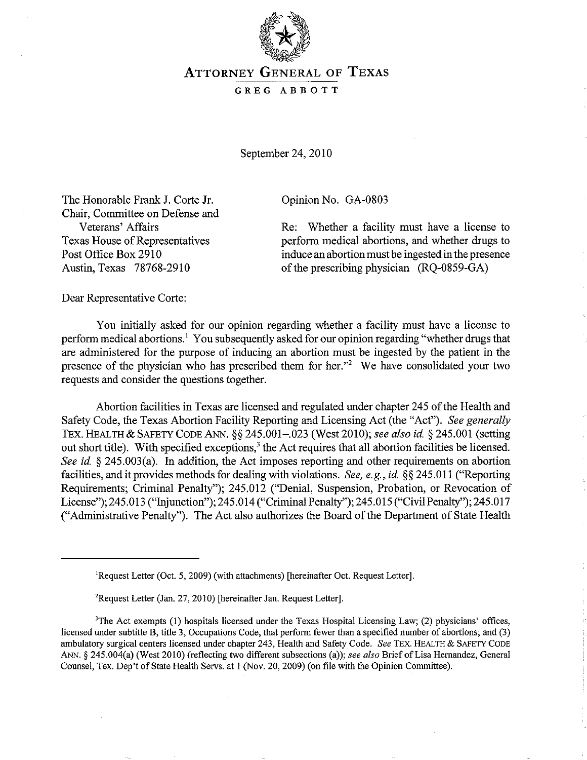

## ATTORNEY GENERAL OF TEXAS

## GREG ABBOTT

September 24, 2010

Opinion No. GA-0803

The Honorable Frank J. Corte Jr. Chair, Committee on Defense and Veterans' Affairs Texas House of Representatives Post Office Box 2910 Austin, Texas 78768-2910

Re: Whether a facility must have a license to perform medical abortions, and whether drugs to induce an abortion must be ingested in the presence of the prescribing physician (RQ-0859-GA)

Dear Representative Corte:

You initially asked for our opinion regarding whether a facility must have a license to perform medical abortions.<sup>1</sup> You subsequently asked for our opinion regarding "whether drugs that are administered for the purpose of inducing an abortion must be ingested by the patient in the presence of the physician who has prescribed them for her."2 We have consolidated your two requests and consider the questions together.

Abortion facilities in Texas are licensed and regulated under chapter 245 of the Health and Safety Code, the Texas Abortion Facility Reporting and Licensing Act (the "Act"). *See generally*  TEx. HEALTH & SAFETY CODE ANN. §§ 245.001-.023 (West 2010); *see also id.* § 245.001 (setting out short title). With specified exceptions,<sup>3</sup> the Act requires that all abortion facilities be licensed. *See id.* § 245.003(a). In addition, the Act imposes reporting and other requirements on abortion facilities, and it provides methods for dealing with violations. *See, e.g., id.* §§ 245.011 ("Reporting Requirements; Criminal Penalty"); 245.012 ("Denial, Suspension, Probation, or Revocation of License"); 245.013 ("Injunction"); 245.014 ("Criminal Penalty"); 245.015 ("Civil Penalty"); 245.017 ("Administrative Penalty"). The Act also authorizes the Board of the Department of State Health

<sup>&</sup>lt;sup>1</sup>Request Letter (Oct. 5, 2009) (with attachments) [hereinafter Oct. Request Letter].

<sup>&#</sup>x27;Request Letter (Jan. 27, 2010) [hereinafier Jan. Request Letter].

<sup>&</sup>lt;sup>3</sup>The Act exempts  $(1)$  hospitals licensed under the Texas Hospital Licensing Law;  $(2)$  physicians' offices, licensed under subtitle B, title 3, Occupations Code, that perform fewer than a specified number of abortions; and (3) ambulatory surgical centers licensed under chapter 243, Health and Safety Code. *See* TEx. HEALTH & SAFETY CODE ANN. § 245.004(a) (West 2010) (reflecting two different subsections (a)); *see also* Brief of Lisa Hernandez, General Counsel, Tex. Dep't of State Health Servs. at I (Nov. 20, 2009) (on file with the Opinion Committee).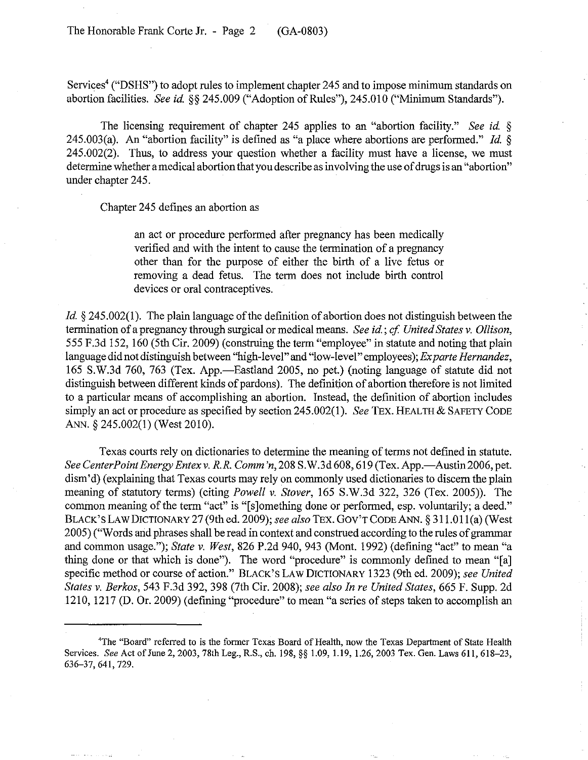Services<sup>4</sup> ("DSHS") to adopt rules to implement chapter 245 and to impose minimum standards on abortion facilities. *See id.* §§ 245.009 ("Adoption of Rules"), 245.010 ("Minimum Standards").

The licensing requirement of chapter 245 applies to an "abortion facility." *See id.* § 245.003(a). An "abortion facility" is defined as "a place where abortions are performed." *Id.* § 245.002(2). Thus, to address your question whether a facility must have a license, we must determine whether a medical abortion that you describe as involving the use of drugs is an "abortion" under chapter 245.

Chapter 245 defines an abortion as

an act or procedure performed after pregnancy has been medically verified and with the intent to cause the termination of a pregnancy other than for the purpose of either the birth of a live fetus or removing a dead fetus. The term does not include birth control devices or oral contraceptives.

*Id.* § 245.002(1). The plain language of the definition of abortion does not distinguish between the termination of a pregnancy through surgical or medical means. *See id.* ; *cf United States* v. *Ollison,*  555 F.3d 152,160 (5th Cir. 2009) (construing the term "employee" in statute and noting that plain language did not distinguish between "high-level" and "low-level" employees); *Exparte Hernandez,*  165 S.W.3d 760, 763 (Tex. App.—Eastland 2005, no pet.) (noting language of statute did not distinguish between different kinds of pardons). The definition of abortion therefore is not limited to a particular means of accomplishing an abortion. Instead, the definition of abortion includes simply an act or procedure as specified by section 245.002(1). *See* TEx. HEALTH & SAFETY CODE ANN. § 245.002(1) (West 2010).

Texas courts rely on dictionaries to determine the meaning of terms not defined in statute. *See CenterPoint Energy Entex v. R.R. Comm'n,* 208 S.W.3d 608, 619 (Tex. App.—Austin 2006, pet. dism'd) (explaining that Texas courts may rely on commonly used dictionaries to discern the plain meaning of statutory terms) (citing *Powell* v. *Stover,* 165 S.W.3d 322, 326 (Tex. 2005». The common meaning of the term "act" is "[sJomething done or performed, esp. voluntarily; a deed." BLACK'S LAW DICTIONARY 27 (9thed. 2009); *see also* TEx. GOV'T CODE ANN. § 311.011(a) (West 2005) ("Words and phrases shall be read in context and construed according to the rules of grammar and common usage."); *State* v. *West,* 826 P.2d 940, 943 (Mont. 1992) (defining "act" to mean "a thing done or that which is done"). The word "procedure" is commonly defined to mean "[a] specific method or course of action." BLACK'S LAW DICTIONARY 1323 (9th ed. 2009); *see United States* v. *Berkos,* 543 F.3d 392, 398 (7th Cir. 2008); *see also In re United States,* 665 F. Supp. 2d 1210, 1217 (D. Or. 2009) (defining "procedure" to mean "a series of steps taken to accomplish an

<sup>4</sup>The "Board" referred to is the former Texas Board of Health, now the Texas Department of State Health Services. *See* Act of June 2, 2003, 78th Leg., R.S., ch. 198, §§ 1.09, 1.19, 1.26, 2003 Tex. Gen. Laws 611, 618-23, 636-37,641,729.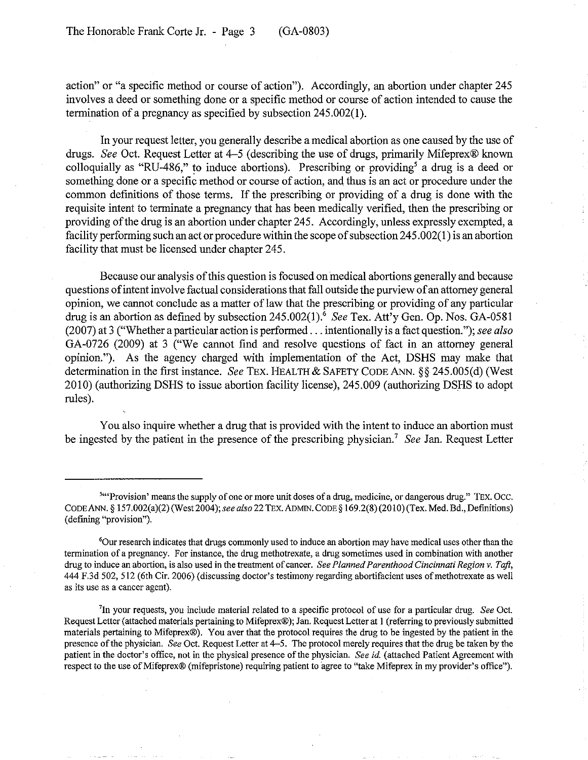action" or "a specific method or course of action"). Accordingly, an abortion under chapter 245 involves a deed or something done or a specific method or course of action intended to cause the termination of a pregnancy as specified by subsection 245.002(1).

In your request letter, you generally describe a medical abortion as one caused by the use of drugs. *See* Oct. Request Letter at 4-5 (describing the use of drugs, primarily Mifeprex® known colloquially as "RU-486," to induce abortions). Prescribing or providing<sup>5</sup> a drug is a deed or something done or a specific method or course of action, and thus is an act or procedure under the common definitions of those terms. If the prescribing or providing of a drug is done with the requisite intent to terminate a pregnancy that has been medically verified, then the prescribing or providing of the drug is an abortion under chapter 245. Accordingly, unless expressly exempted, a facility performing such an act or procedure within the scope of subsection 245.002(1) is an abortion facility that must be licensed under chapter 245.

Because our analysis of this question is focused on medical abortions generally and because questions of intent involve factual considerations that fall outside the purview of an attorney general opinion, we cannot conclude as a matter of law that the prescribing or providing of any particular drug is an abortion as defined by subsection 245.002(1).<sup>6</sup> *See* Tex. Att'y Gen. Op. Nos. GA-0581 (2007) at 3 ("Whether a particular action is performed ... intentionally is a fact question. "); *see also*  GA-0726 (2009) at 3 ("We cannot find and resolve questions of fact in an attorney general opinion."). As the agency charged with implementation of the Act, DSHS may make that determination in the first instance. *See TEX*. HEALTH & SAFETY CODE ANN. §§ 245.005(d) (West 2010) (authorizing DSHS to issue abortion facility license), 245.009 (authorizing DSHS to adopt rules).

You also inquire whether a drug that is provided with the intent to induce an abortion must be ingested by the patient in the presence of the prescribing physician.7 *See* Jan. Request Letter

**S"'Provision' means the supply of one or more unit doses of a drug, medicine, or dangerous drug." TEX.OCC.**  CODE ANN. § l57.002(a)(2) (West2004); *see also* 22 TEx. ADMIN. CODE § 169.2(8) (2010) (Tex. Med. Bd., Defmitions) (defining "provision").

<sup>&#</sup>x27;Our research indicates that drugs commonly used to induce an abortion may have medical uses other than the termination of a pregnancy. For instance, the drug methotrexate, a drug sometimes used in combination with another drug to induce an abortion, is also used in the treatment of cancer. *See Planned Parenthood Cincinnati Region* v. *Taft,*  444 F.3d 502, 512 (6th Cir. 2006) (discussing doctor's testimony regarding abortifacient uses of methotrexate as well as its use as a cancer agent).

<sup>&#</sup>x27;In your requests, you include material related to a specific protocol of use for a particular drug. *See* Oct. Request Letter (attached materials pertaining to Mifeprex®); Jan. Request Letter at I (referring to previously submitted materials pertaining to Mifeprex®). You aver that the protocol requires the drug to be ingested by the patient in the presence of the physician. *See* Oct. Request Letter at 4-5. The protocol merely requires that the drug be taken by the patient in the doctor's office, not in the physical presence of the physician. *See id* (attached Patient Agreement with respect to the use of Mifeprex® (mifepristone) requiring patient to agree to "take Mifeprex in my provider's office").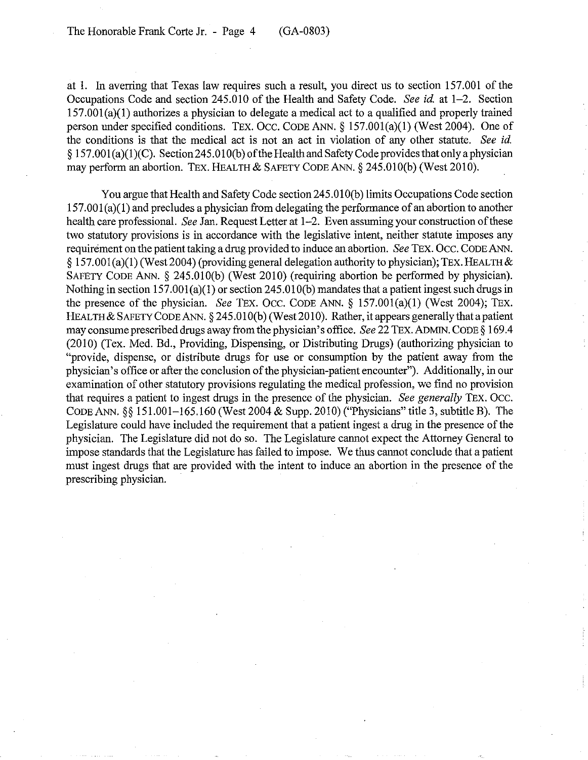at 1. In averring that Texas law requires such a result, you direct us to section 157.001 of the Occupations Code and section 245.010 of the Health and Safety Code. *See id.* at 1-2. Section  $157.001(a)(1)$  authorizes a physician to delegate a medical act to a qualified and properly trained person under specified conditions. TEx. Occ. CODE ANN. § 157.001(a)(1) (West 2004). One of the conditions is that the medical act is not an act in violation of any other statute. *See id.*  § 157.001 (a)(l )(C). Section245.01 O(b) of the Health and Safety Code provides that only a physician may perform an abortion. TEx. HEALTH & SAFETY CODE ANN. § 245.010(b) (West 2010).

You argue that Health and Safety Code section 245.01 O(b) limits Occupations Code section  $157.001(a)(1)$  and precludes a physician from delegating the performance of an abortion to another health care professional. *See* Jan. Request Letter at 1-2. Even assuming your construction of these two statutory provisions is in accordance with the legislative intent, neither statute imposes any requirement on the patient taking a drug provided to induce an abortion. *See* TEx. Occ. CODE ANN.  $\S 157.001(a)(1)$  (West 2004) (providing general delegation authority to physician); TEX. HEALTH & SAFETY CODE ANN. § 245.010(b) (West 2010) (requiring abortion be performed by physician). Nothing in section 157.001(a)(1) or section 245.010(b) mandates that a patient ingest such drugs in the presence of the physician. *See* TEx. OCC. CODE ANN. § 157.001(a)(1) (West 2004); TEx. HEALTH & SAFETY CODE ANN. § 245.010(b) (West 2010). Rather, it appears generally that a patient may consume prescribed drugs away from the physician's office. *See* 22 TEx. ADMIN. CODE § 169.4 (2010) (Tex. Med. Bd., Providing, Dispensing, or Distributing Drugs) (authorizing physician to "provide, dispense, or distribute drugs for use or consumption by the patient away from the physician's office or after the conclusion of the physician-patient encounter"). Additionally, in our examination of other statutory provisions regulating the medical profession, we find no provision that requires a patient to ingest drugs in the presence of the physician. *See generally* TEx. Occ. CODE ANN. §§ 151.001-165.160 (West 2004 & Supp. 2010) ("Physicians" title 3, subtitle B). The Legislature could have included the requirement that a patient ingest a drug in the presence of the physician. The Legislature did not do so. The Legislature cannot expect the Attorney General to impose standards that the Legislature has falled to impose. We thus cannot conclude that a patient must ingest drugs that are provided with the intent to induce an abortion in the presence of the prescribing physician.